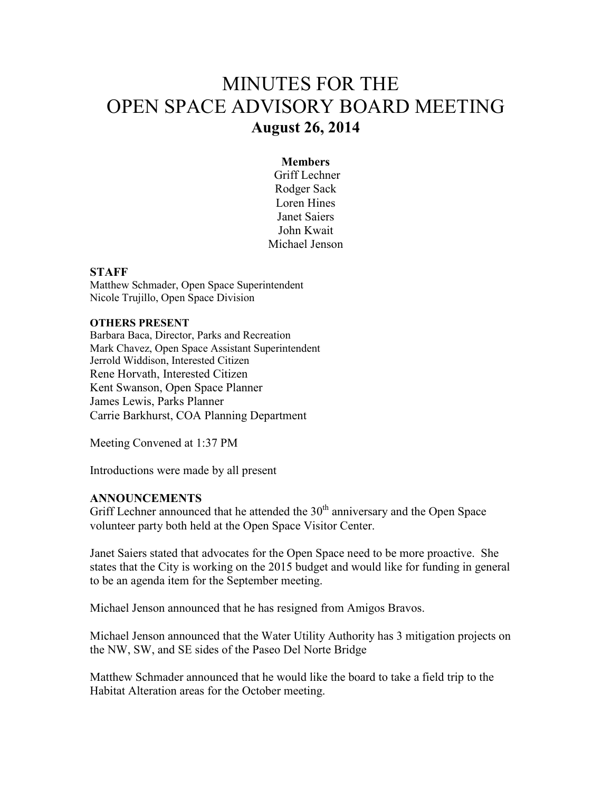# MINUTES FOR THE OPEN SPACE ADVISORY BOARD MEETING **August 26, 2014**

#### **Members**

 Griff Lechner Rodger Sack Loren Hines Janet Saiers John Kwait Michael Jenson

#### **STAFF**

Matthew Schmader, Open Space Superintendent Nicole Trujillo, Open Space Division

#### **OTHERS PRESENT**

Barbara Baca, Director, Parks and Recreation Mark Chavez, Open Space Assistant Superintendent Jerrold Widdison, Interested Citizen Rene Horvath, Interested Citizen Kent Swanson, Open Space Planner James Lewis, Parks Planner Carrie Barkhurst, COA Planning Department

Meeting Convened at 1:37 PM

Introductions were made by all present

#### **ANNOUNCEMENTS**

Griff Lechner announced that he attended the  $30<sup>th</sup>$  anniversary and the Open Space volunteer party both held at the Open Space Visitor Center.

Janet Saiers stated that advocates for the Open Space need to be more proactive. She states that the City is working on the 2015 budget and would like for funding in general to be an agenda item for the September meeting.

Michael Jenson announced that he has resigned from Amigos Bravos.

Michael Jenson announced that the Water Utility Authority has 3 mitigation projects on the NW, SW, and SE sides of the Paseo Del Norte Bridge

Matthew Schmader announced that he would like the board to take a field trip to the Habitat Alteration areas for the October meeting.